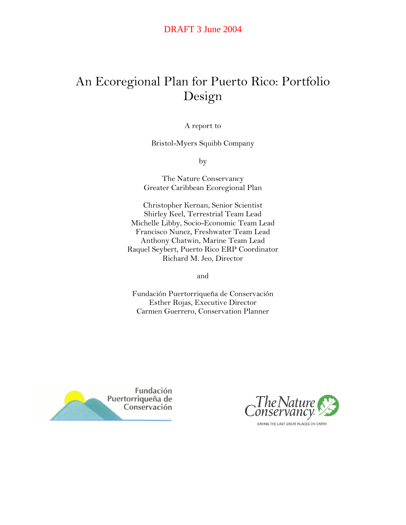# An Ecoregional Plan for Puerto Rico: Portfolio Design

A report to

Bristol-Myers Squibb Company

by

The Nature Conservancy Greater Caribbean Ecoregional Plan

Christopher Kernan, Senior Scientist Shirley Keel, Terrestrial Team Lead Michelle Libby, Socio-Economic Team Lead Francisco Nunez, Freshwater Team Lead Anthony Chatwin, Marine Team Lead Raquel Seybert, Puerto Rico ERP Coordinator Richard M. Jeo, Director

and

Fundación Puertorriqueña de Conservación Esther Rojas, Executive Director Carmen Guerrero, Conservation Planner



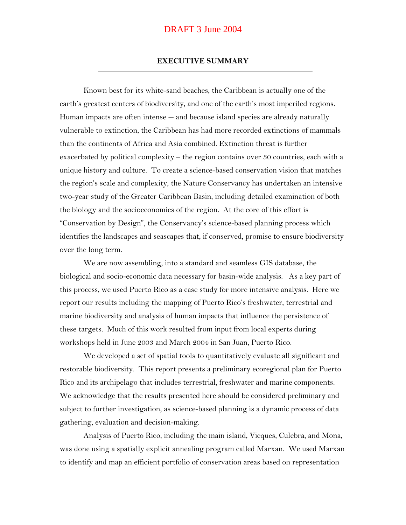#### **EXECUTIVE SUMMARY**

Known best for its white-sand beaches, the Caribbean is actually one of the earth's greatest centers of biodiversity, and one of the earth's most imperiled regions. Human impacts are often intense -- and because island species are already naturally vulnerable to extinction, the Caribbean has had more recorded extinctions of mammals than the continents of Africa and Asia combined. Extinction threat is further exacerbated by political complexity – the region contains over 30 countries, each with a unique history and culture. To create a science-based conservation vision that matches the region's scale and complexity, the Nature Conservancy has undertaken an intensive two-year study of the Greater Caribbean Basin, including detailed examination of both the biology and the socioeconomics of the region. At the core of this effort is "Conservation by Design", the Conservancy's science-based planning process which identifies the landscapes and seascapes that, if conserved, promise to ensure biodiversity over the long term.

We are now assembling, into a standard and seamless GIS database, the biological and socio-economic data necessary for basin-wide analysis. As a key part of this process, we used Puerto Rico as a case study for more intensive analysis. Here we report our results including the mapping of Puerto Rico's freshwater, terrestrial and marine biodiversity and analysis of human impacts that influence the persistence of these targets. Much of this work resulted from input from local experts during workshops held in June 2003 and March 2004 in San Juan, Puerto Rico.

We developed a set of spatial tools to quantitatively evaluate all significant and restorable biodiversity. This report presents a preliminary ecoregional plan for Puerto Rico and its archipelago that includes terrestrial, freshwater and marine components. We acknowledge that the results presented here should be considered preliminary and subject to further investigation, as science-based planning is a dynamic process of data gathering, evaluation and decision-making.

Analysis of Puerto Rico, including the main island, Vieques, Culebra, and Mona, was done using a spatially explicit annealing program called Marxan. We used Marxan to identify and map an efficient portfolio of conservation areas based on representation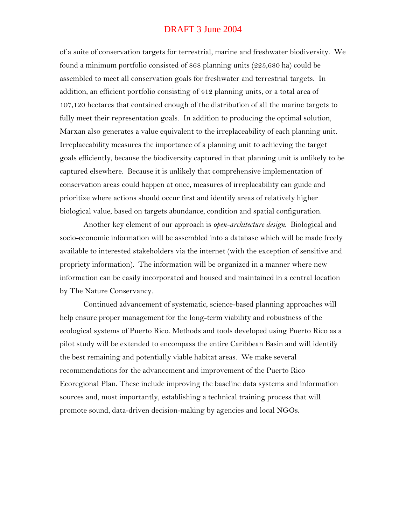of a suite of conservation targets for terrestrial, marine and freshwater biodiversity. We found a minimum portfolio consisted of 868 planning units (225,680 ha) could be assembled to meet all conservation goals for freshwater and terrestrial targets. In addition, an efficient portfolio consisting of 412 planning units, or a total area of 107,120 hectares that contained enough of the distribution of all the marine targets to fully meet their representation goals. In addition to producing the optimal solution, Marxan also generates a value equivalent to the irreplaceability of each planning unit. Irreplaceability measures the importance of a planning unit to achieving the target goals efficiently, because the biodiversity captured in that planning unit is unlikely to be captured elsewhere. Because it is unlikely that comprehensive implementation of conservation areas could happen at once, measures of irreplacability can guide and prioritize where actions should occur first and identify areas of relatively higher biological value, based on targets abundance, condition and spatial configuration.

Another key element of our approach is *open-architecture design*. Biological and socio-economic information will be assembled into a database which will be made freely available to interested stakeholders via the internet (with the exception of sensitive and propriety information). The information will be organized in a manner where new information can be easily incorporated and housed and maintained in a central location by The Nature Conservancy.

Continued advancement of systematic, science-based planning approaches will help ensure proper management for the long-term viability and robustness of the ecological systems of Puerto Rico. Methods and tools developed using Puerto Rico as a pilot study will be extended to encompass the entire Caribbean Basin and will identify the best remaining and potentially viable habitat areas. We make several recommendations for the advancement and improvement of the Puerto Rico Ecoregional Plan. These include improving the baseline data systems and information sources and, most importantly, establishing a technical training process that will promote sound, data-driven decision-making by agencies and local NGOs.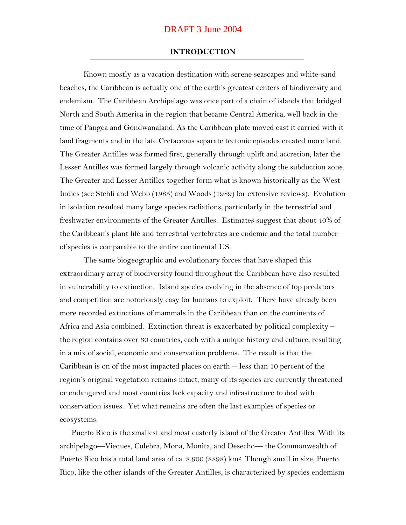#### **INTRODUCTION**

Known mostly as a vacation destination with serene seascapes and white-sand beaches, the Caribbean is actually one of the earth's greatest centers of biodiversity and endemism. The Caribbean Archipelago was once part of a chain of islands that bridged North and South America in the region that became Central America, well back in the time of Pangea and Gondwanaland. As the Caribbean plate moved east it carried with it land fragments and in the late Cretaceous separate tectonic episodes created more land. The Greater Antilles was formed first, generally through uplift and accretion; later the Lesser Antilles was formed largely through volcanic activity along the subduction zone. The Greater and Lesser Antilles together form what is known historically as the West Indies (see Stehli and Webb (1985) and Woods (1989) for extensive reviews). Evolution in isolation resulted many large species radiations, particularly in the terrestrial and freshwater environments of the Greater Antilles. Estimates suggest that about 40% of the Caribbean's plant life and terrestrial vertebrates are endemic and the total number of species is comparable to the entire continental US.

The same biogeographic and evolutionary forces that have shaped this extraordinary array of biodiversity found throughout the Caribbean have also resulted in vulnerability to extinction. Island species evolving in the absence of top predators and competition are notoriously easy for humans to exploit. There have already been more recorded extinctions of mammals in the Caribbean than on the continents of Africa and Asia combined. Extinction threat is exacerbated by political complexity – the region contains over 30 countries, each with a unique history and culture, resulting in a mix of social, economic and conservation problems. The result is that the Caribbean is on of the most impacted places on earth -- less than 10 percent of the region's original vegetation remains intact, many of its species are currently threatened or endangered and most countries lack capacity and infrastructure to deal with conservation issues. Yet what remains are often the last examples of species or ecosystems.

Puerto Rico is the smallest and most easterly island of the Greater Antilles. With its archipelago—Vieques, Culebra, Mona, Monita, and Desecho— the Commonwealth of Puerto Rico has a total land area of ca. 8,900 (8898) km2. Though small in size, Puerto Rico, like the other islands of the Greater Antilles, is characterized by species endemism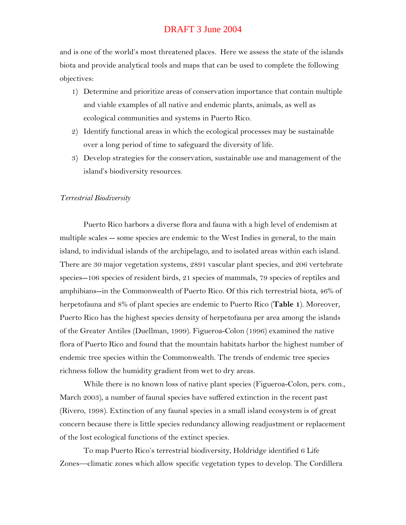and is one of the world's most threatened places. Here we assess the state of the islands biota and provide analytical tools and maps that can be used to complete the following objectives:

- 1) Determine and prioritize areas of conservation importance that contain multiple and viable examples of all native and endemic plants, animals, as well as ecological communities and systems in Puerto Rico.
- 2) Identify functional areas in which the ecological processes may be sustainable over a long period of time to safeguard the diversity of life.
- 3) Develop strategies for the conservation, sustainable use and management of the island's biodiversity resources.

#### *Terrestrial Biodiversity*

Puerto Rico harbors a diverse flora and fauna with a high level of endemism at multiple scales -- some species are endemic to the West Indies in general, to the main island, to individual islands of the archipelago, and to isolated areas within each island. There are 30 major vegetation systems, 2891 vascular plant species, and 206 vertebrate species--106 species of resident birds, 21 species of mammals, 79 species of reptiles and amphibians--in the Commonwealth of Puerto Rico. Of this rich terrestrial biota, 46% of herpetofauna and 8% of plant species are endemic to Puerto Rico (**Table 1**). Moreover, Puerto Rico has the highest species density of herpetofauna per area among the islands of the Greater Antiles (Duellman, 1999). Figueroa-Colon (1996) examined the native flora of Puerto Rico and found that the mountain habitats harbor the highest number of endemic tree species within the Commonwealth. The trends of endemic tree species richness follow the humidity gradient from wet to dry areas.

While there is no known loss of native plant species (Figueroa-Colon, pers. com., March 2003), a number of faunal species have suffered extinction in the recent past (Rivero, 1998). Extinction of any faunal species in a small island ecosystem is of great concern because there is little species redundancy allowing readjustment or replacement of the lost ecological functions of the extinct species.

To map Puerto Rico's terrestrial biodiversity, Holdridge identified 6 Life Zones—climatic zones which allow specific vegetation types to develop. The Cordillera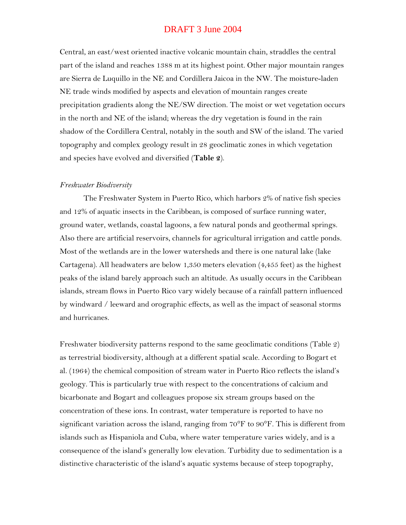Central, an east/west oriented inactive volcanic mountain chain, straddles the central part of the island and reaches 1388 m at its highest point. Other major mountain ranges are Sierra de Luquillo in the NE and Cordillera Jaicoa in the NW. The moisture-laden NE trade winds modified by aspects and elevation of mountain ranges create precipitation gradients along the NE/SW direction. The moist or wet vegetation occurs in the north and NE of the island; whereas the dry vegetation is found in the rain shadow of the Cordillera Central, notably in the south and SW of the island. The varied topography and complex geology result in 28 geoclimatic zones in which vegetation and species have evolved and diversified (**Table 2**).

#### *Freshwater Biodiversity*

The Freshwater System in Puerto Rico, which harbors 2% of native fish species and 12% of aquatic insects in the Caribbean, is composed of surface running water, ground water, wetlands, coastal lagoons, a few natural ponds and geothermal springs. Also there are artificial reservoirs, channels for agricultural irrigation and cattle ponds. Most of the wetlands are in the lower watersheds and there is one natural lake (lake Cartagena). All headwaters are below 1,350 meters elevation (4,455 feet) as the highest peaks of the island barely approach such an altitude. As usually occurs in the Caribbean islands, stream flows in Puerto Rico vary widely because of a rainfall pattern influenced by windward / leeward and orographic effects, as well as the impact of seasonal storms and hurricanes.

Freshwater biodiversity patterns respond to the same geoclimatic conditions (Table 2) as terrestrial biodiversity, although at a different spatial scale. According to Bogart et al. (1964) the chemical composition of stream water in Puerto Rico reflects the island's geology. This is particularly true with respect to the concentrations of calcium and bicarbonate and Bogart and colleagues propose six stream groups based on the concentration of these ions. In contrast, water temperature is reported to have no significant variation across the island, ranging from 70°F to 90°F. This is different from islands such as Hispaniola and Cuba, where water temperature varies widely, and is a consequence of the island's generally low elevation. Turbidity due to sedimentation is a distinctive characteristic of the island's aquatic systems because of steep topography,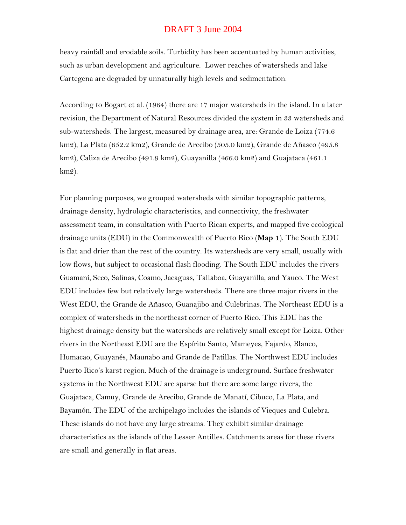heavy rainfall and erodable soils. Turbidity has been accentuated by human activities, such as urban development and agriculture. Lower reaches of watersheds and lake Cartegena are degraded by unnaturally high levels and sedimentation.

According to Bogart et al. (1964) there are 17 major watersheds in the island. In a later revision, the Department of Natural Resources divided the system in 33 watersheds and sub-watersheds. The largest, measured by drainage area, are: Grande de Loiza (774.6 km2), La Plata (652.2 km2), Grande de Arecibo (505.0 km2), Grande de Añasco (495.8 km2), Caliza de Arecibo (491.9 km2), Guayanilla (466.0 km2) and Guajataca (461.1 km2).

For planning purposes, we grouped watersheds with similar topographic patterns, drainage density, hydrologic characteristics, and connectivity, the freshwater assessment team, in consultation with Puerto Rican experts, and mapped five ecological drainage units (EDU) in the Commonwealth of Puerto Rico (**Map 1**). The South EDU is flat and drier than the rest of the country. Its watersheds are very small, usually with low flows, but subject to occasional flash flooding. The South EDU includes the rivers Guamaní, Seco, Salinas, Coamo, Jacaguas, Tallaboa, Guayanilla, and Yauco. The West EDU includes few but relatively large watersheds. There are three major rivers in the West EDU, the Grande de Añasco, Guanajibo and Culebrinas. The Northeast EDU is a complex of watersheds in the northeast corner of Puerto Rico. This EDU has the highest drainage density but the watersheds are relatively small except for Loiza. Other rivers in the Northeast EDU are the Espíritu Santo, Mameyes, Fajardo, Blanco, Humacao, Guayanés, Maunabo and Grande de Patillas. The Northwest EDU includes Puerto Rico's karst region. Much of the drainage is underground. Surface freshwater systems in the Northwest EDU are sparse but there are some large rivers, the Guajataca, Camuy, Grande de Arecibo, Grande de Manatí, Cibuco, La Plata, and Bayamón. The EDU of the archipelago includes the islands of Vieques and Culebra. These islands do not have any large streams. They exhibit similar drainage characteristics as the islands of the Lesser Antilles. Catchments areas for these rivers are small and generally in flat areas.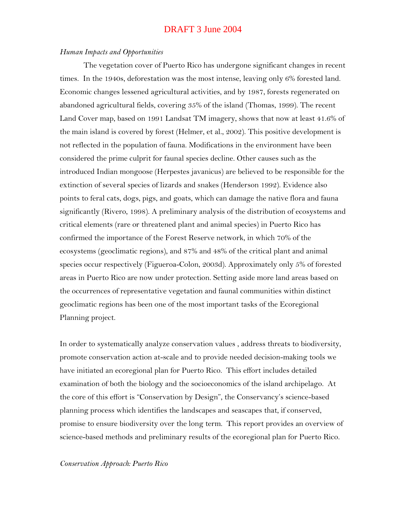#### *Human Impacts and Opportunities*

The vegetation cover of Puerto Rico has undergone significant changes in recent times. In the 1940s, deforestation was the most intense, leaving only 6% forested land. Economic changes lessened agricultural activities, and by 1987, forests regenerated on abandoned agricultural fields, covering 35% of the island (Thomas, 1999). The recent Land Cover map, based on 1991 Landsat TM imagery, shows that now at least 41.6% of the main island is covered by forest (Helmer, et al., 2002). This positive development is not reflected in the population of fauna. Modifications in the environment have been considered the prime culprit for faunal species decline. Other causes such as the introduced Indian mongoose (Herpestes javanicus) are believed to be responsible for the extinction of several species of lizards and snakes (Henderson 1992). Evidence also points to feral cats, dogs, pigs, and goats, which can damage the native flora and fauna significantly (Rivero, 1998). A preliminary analysis of the distribution of ecosystems and critical elements (rare or threatened plant and animal species) in Puerto Rico has confirmed the importance of the Forest Reserve network, in which 70% of the ecosystems (geoclimatic regions), and 87% and 48% of the critical plant and animal species occur respectively (Figueroa-Colon, 2003d). Approximately only 5% of forested areas in Puerto Rico are now under protection. Setting aside more land areas based on the occurrences of representative vegetation and faunal communities within distinct geoclimatic regions has been one of the most important tasks of the Ecoregional Planning project.

In order to systematically analyze conservation values , address threats to biodiversity, promote conservation action at-scale and to provide needed decision-making tools we have initiated an ecoregional plan for Puerto Rico. This effort includes detailed examination of both the biology and the socioeconomics of the island archipelago. At the core of this effort is "Conservation by Design", the Conservancy's science-based planning process which identifies the landscapes and seascapes that, if conserved, promise to ensure biodiversity over the long term. This report provides an overview of science-based methods and preliminary results of the ecoregional plan for Puerto Rico.

#### *Conservation Approach: Puerto Rico*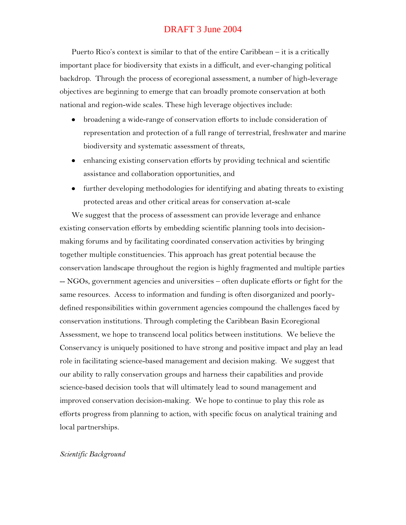Puerto Rico's context is similar to that of the entire Caribbean – it is a critically important place for biodiversity that exists in a difficult, and ever-changing political backdrop. Through the process of ecoregional assessment, a number of high-leverage objectives are beginning to emerge that can broadly promote conservation at both national and region-wide scales. These high leverage objectives include:

- broadening a wide-range of conservation efforts to include consideration of representation and protection of a full range of terrestrial, freshwater and marine biodiversity and systematic assessment of threats,
- enhancing existing conservation efforts by providing technical and scientific assistance and collaboration opportunities, and
- further developing methodologies for identifying and abating threats to existing protected areas and other critical areas for conservation at-scale

We suggest that the process of assessment can provide leverage and enhance existing conservation efforts by embedding scientific planning tools into decisionmaking forums and by facilitating coordinated conservation activities by bringing together multiple constituencies. This approach has great potential because the conservation landscape throughout the region is highly fragmented and multiple parties -- NGOs, government agencies and universities – often duplicate efforts or fight for the same resources. Access to information and funding is often disorganized and poorlydefined responsibilities within government agencies compound the challenges faced by conservation institutions. Through completing the Caribbean Basin Ecoregional Assessment, we hope to transcend local politics between institutions. We believe the Conservancy is uniquely positioned to have strong and positive impact and play an lead role in facilitating science-based management and decision making. We suggest that our ability to rally conservation groups and harness their capabilities and provide science-based decision tools that will ultimately lead to sound management and improved conservation decision-making. We hope to continue to play this role as efforts progress from planning to action, with specific focus on analytical training and local partnerships.

### *Scientific Background*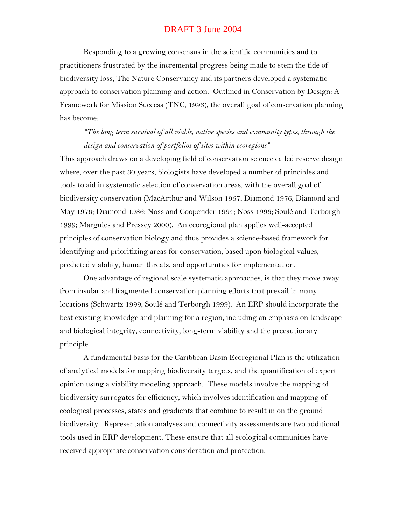Responding to a growing consensus in the scientific communities and to practitioners frustrated by the incremental progress being made to stem the tide of biodiversity loss, The Nature Conservancy and its partners developed a systematic approach to conservation planning and action. Outlined in Conservation by Design: A Framework for Mission Success (TNC, 1996), the overall goal of conservation planning has become:

*"The long term survival of all viable, native species and community types, through the design and conservation of portfolios of sites within ecoregions"*

This approach draws on a developing field of conservation science called reserve design where, over the past 30 years, biologists have developed a number of principles and tools to aid in systematic selection of conservation areas, with the overall goal of biodiversity conservation (MacArthur and Wilson 1967; Diamond 1976; Diamond and May 1976; Diamond 1986; Noss and Cooperider 1994; Noss 1996; Soulé and Terborgh 1999; Margules and Pressey 2000). An ecoregional plan applies well-accepted principles of conservation biology and thus provides a science-based framework for identifying and prioritizing areas for conservation, based upon biological values, predicted viability, human threats, and opportunities for implementation.

One advantage of regional scale systematic approaches, is that they move away from insular and fragmented conservation planning efforts that prevail in many locations (Schwartz 1999; Soulé and Terborgh 1999). An ERP should incorporate the best existing knowledge and planning for a region, including an emphasis on landscape and biological integrity, connectivity, long-term viability and the precautionary principle.

A fundamental basis for the Caribbean Basin Ecoregional Plan is the utilization of analytical models for mapping biodiversity targets, and the quantification of expert opinion using a viability modeling approach. These models involve the mapping of biodiversity surrogates for efficiency, which involves identification and mapping of ecological processes, states and gradients that combine to result in on the ground biodiversity. Representation analyses and connectivity assessments are two additional tools used in ERP development. These ensure that all ecological communities have received appropriate conservation consideration and protection.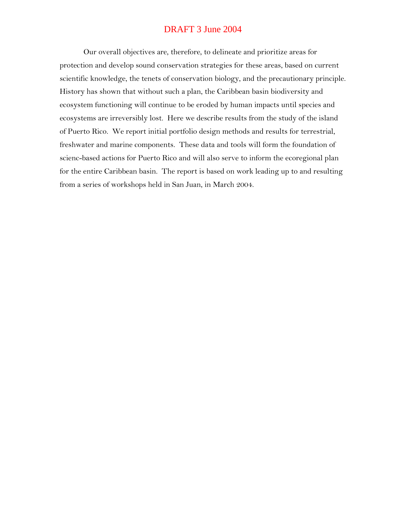Our overall objectives are, therefore, to delineate and prioritize areas for protection and develop sound conservation strategies for these areas, based on current scientific knowledge, the tenets of conservation biology, and the precautionary principle. History has shown that without such a plan, the Caribbean basin biodiversity and ecosystem functioning will continue to be eroded by human impacts until species and ecosystems are irreversibly lost. Here we describe results from the study of the island of Puerto Rico. We report initial portfolio design methods and results for terrestrial, freshwater and marine components. These data and tools will form the foundation of scienc-based actions for Puerto Rico and will also serve to inform the ecoregional plan for the entire Caribbean basin. The report is based on work leading up to and resulting from a series of workshops held in San Juan, in March 2004.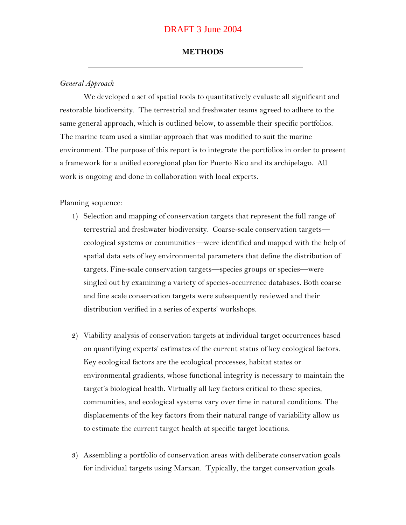#### **METHODS**

#### *General Approach*

We developed a set of spatial tools to quantitatively evaluate all significant and restorable biodiversity. The terrestrial and freshwater teams agreed to adhere to the same general approach, which is outlined below, to assemble their specific portfolios. The marine team used a similar approach that was modified to suit the marine environment. The purpose of this report is to integrate the portfolios in order to present a framework for a unified ecoregional plan for Puerto Rico and its archipelago. All work is ongoing and done in collaboration with local experts.

#### Planning sequence:

- 1) Selection and mapping of conservation targets that represent the full range of terrestrial and freshwater biodiversity. Coarse-scale conservation targets ecological systems or communities—were identified and mapped with the help of spatial data sets of key environmental parameters that define the distribution of targets. Fine-scale conservation targets—species groups or species—were singled out by examining a variety of species-occurrence databases. Both coarse and fine scale conservation targets were subsequently reviewed and their distribution verified in a series of experts' workshops.
- 2) Viability analysis of conservation targets at individual target occurrences based on quantifying experts' estimates of the current status of key ecological factors. Key ecological factors are the ecological processes, habitat states or environmental gradients, whose functional integrity is necessary to maintain the target's biological health. Virtually all key factors critical to these species, communities, and ecological systems vary over time in natural conditions. The displacements of the key factors from their natural range of variability allow us to estimate the current target health at specific target locations.
- 3) Assembling a portfolio of conservation areas with deliberate conservation goals for individual targets using Marxan. Typically, the target conservation goals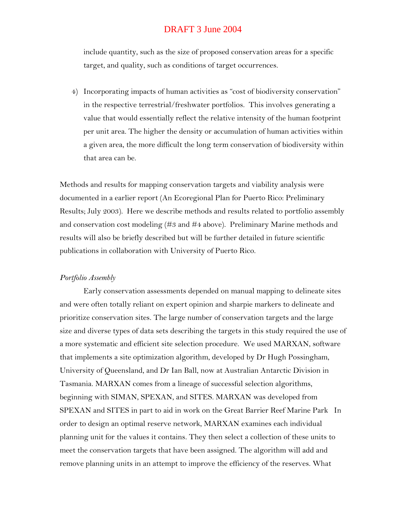include quantity, such as the size of proposed conservation areas for a specific target, and quality, such as conditions of target occurrences.

4) Incorporating impacts of human activities as "cost of biodiversity conservation" in the respective terrestrial/freshwater portfolios. This involves generating a value that would essentially reflect the relative intensity of the human footprint per unit area. The higher the density or accumulation of human activities within a given area, the more difficult the long term conservation of biodiversity within that area can be.

Methods and results for mapping conservation targets and viability analysis were documented in a earlier report (An Ecoregional Plan for Puerto Rico: Preliminary Results; July 2003). Here we describe methods and results related to portfolio assembly and conservation cost modeling (#3 and #4 above). Preliminary Marine methods and results will also be briefly described but will be further detailed in future scientific publications in collaboration with University of Puerto Rico.

#### *Portfolio Assembly*

Early conservation assessments depended on manual mapping to delineate sites and were often totally reliant on expert opinion and sharpie markers to delineate and prioritize conservation sites. The large number of conservation targets and the large size and diverse types of data sets describing the targets in this study required the use of a more systematic and efficient site selection procedure. We used MARXAN, software that implements a site optimization algorithm, developed by Dr Hugh Possingham, University of Queensland, and Dr Ian Ball, now at Australian Antarctic Division in Tasmania. MARXAN comes from a lineage of successful selection algorithms, beginning with SIMAN, SPEXAN, and SITES. MARXAN was developed from SPEXAN and SITES in part to aid in work on the Great Barrier Reef Marine Park In order to design an optimal reserve network, MARXAN examines each individual planning unit for the values it contains. They then select a collection of these units to meet the conservation targets that have been assigned. The algorithm will add and remove planning units in an attempt to improve the efficiency of the reserves. What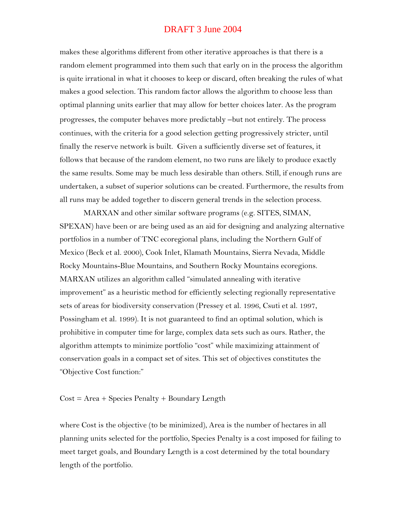makes these algorithms different from other iterative approaches is that there is a random element programmed into them such that early on in the process the algorithm is quite irrational in what it chooses to keep or discard, often breaking the rules of what makes a good selection. This random factor allows the algorithm to choose less than optimal planning units earlier that may allow for better choices later. As the program progresses, the computer behaves more predictably -but not entirely. The process continues, with the criteria for a good selection getting progressively stricter, until finally the reserve network is built. Given a sufficiently diverse set of features, it follows that because of the random element, no two runs are likely to produce exactly the same results. Some may be much less desirable than others. Still, if enough runs are undertaken, a subset of superior solutions can be created. Furthermore, the results from all runs may be added together to discern general trends in the selection process.

MARXAN and other similar software programs (e.g. SITES, SIMAN, SPEXAN) have been or are being used as an aid for designing and analyzing alternative portfolios in a number of TNC ecoregional plans, including the Northern Gulf of Mexico (Beck et al. 2000), Cook Inlet, Klamath Mountains, Sierra Nevada, Middle Rocky Mountains-Blue Mountains, and Southern Rocky Mountains ecoregions. MARXAN utilizes an algorithm called "simulated annealing with iterative improvement" as a heuristic method for efficiently selecting regionally representative sets of areas for biodiversity conservation (Pressey et al. 1996, Csuti et al. 1997, Possingham et al. 1999). It is not guaranteed to find an optimal solution, which is prohibitive in computer time for large, complex data sets such as ours. Rather, the algorithm attempts to minimize portfolio "cost" while maximizing attainment of conservation goals in a compact set of sites. This set of objectives constitutes the ―Objective Cost function:‖

#### $Cost = Area + Species Penalty + Boundary Length$

where Cost is the objective (to be minimized), Area is the number of hectares in all planning units selected for the portfolio, Species Penalty is a cost imposed for failing to meet target goals, and Boundary Length is a cost determined by the total boundary length of the portfolio.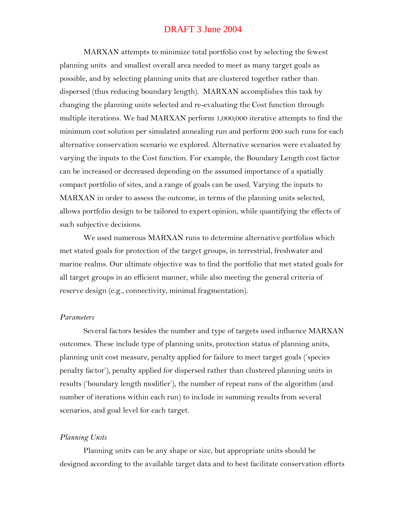MARXAN attempts to minimize total portfolio cost by selecting the fewest planning units and smallest overall area needed to meet as many target goals as possible, and by selecting planning units that are clustered together rather than dispersed (thus reducing boundary length). MARXAN accomplishes this task by changing the planning units selected and re-evaluating the Cost function through multiple iterations. We had MARXAN perform 1,000,000 iterative attempts to find the minimum cost solution per simulated annealing run and perform 200 such runs for each alternative conservation scenario we explored. Alternative scenarios were evaluated by varying the inputs to the Cost function. For example, the Boundary Length cost factor can be increased or decreased depending on the assumed importance of a spatially compact portfolio of sites, and a range of goals can be used. Varying the inputs to MARXAN in order to assess the outcome, in terms of the planning units selected, allows portfolio design to be tailored to expert opinion, while quantifying the effects of such subjective decisions.

We used numerous MARXAN runs to determine alternative portfolios which met stated goals for protection of the target groups, in terrestrial, freshwater and marine realms. Our ultimate objective was to find the portfolio that met stated goals for all target groups in an efficient manner, while also meeting the general criteria of reserve design (e.g., connectivity, minimal fragmentation).

#### *Parameters*

Several factors besides the number and type of targets used influence MARXAN outcomes. These include type of planning units, protection status of planning units, planning unit cost measure, penalty applied for failure to meet target goals ('species penalty factor'), penalty applied for dispersed rather than clustered planning units in results ('boundary length modifier'), the number of repeat runs of the algorithm (and number of iterations within each run) to include in summing results from several scenarios, and goal level for each target.

#### *Planning Units*

Planning units can be any shape or size, but appropriate units should be designed according to the available target data and to best facilitate conservation efforts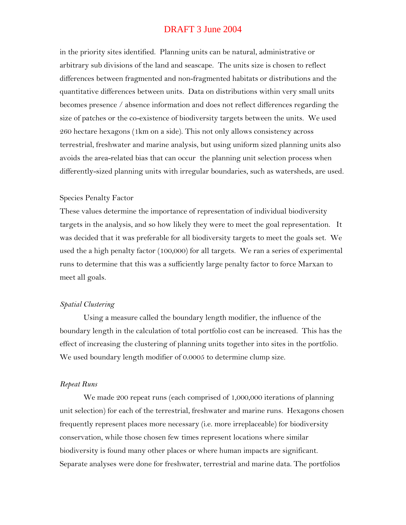in the priority sites identified. Planning units can be natural, administrative or arbitrary sub divisions of the land and seascape. The units size is chosen to reflect differences between fragmented and non-fragmented habitats or distributions and the quantitative differences between units. Data on distributions within very small units becomes presence / absence information and does not reflect differences regarding the size of patches or the co-existence of biodiversity targets between the units. We used 260 hectare hexagons (1km on a side). This not only allows consistency across terrestrial, freshwater and marine analysis, but using uniform sized planning units also avoids the area-related bias that can occur the planning unit selection process when differently-sized planning units with irregular boundaries, such as watersheds, are used.

#### Species Penalty Factor

These values determine the importance of representation of individual biodiversity targets in the analysis, and so how likely they were to meet the goal representation. It was decided that it was preferable for all biodiversity targets to meet the goals set. We used the a high penalty factor (100,000) for all targets. We ran a series of experimental runs to determine that this was a sufficiently large penalty factor to force Marxan to meet all goals.

#### *Spatial Clustering*

Using a measure called the boundary length modifier, the influence of the boundary length in the calculation of total portfolio cost can be increased. This has the effect of increasing the clustering of planning units together into sites in the portfolio. We used boundary length modifier of 0.0005 to determine clump size.

#### *Repeat Runs*

We made 200 repeat runs (each comprised of 1,000,000 iterations of planning unit selection) for each of the terrestrial, freshwater and marine runs. Hexagons chosen frequently represent places more necessary (i.e. more irreplaceable) for biodiversity conservation, while those chosen few times represent locations where similar biodiversity is found many other places or where human impacts are significant. Separate analyses were done for freshwater, terrestrial and marine data. The portfolios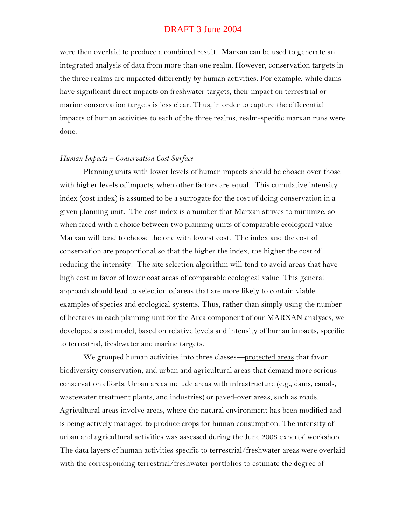were then overlaid to produce a combined result. Marxan can be used to generate an integrated analysis of data from more than one realm. However, conservation targets in the three realms are impacted differently by human activities. For example, while dams have significant direct impacts on freshwater targets, their impact on terrestrial or marine conservation targets is less clear. Thus, in order to capture the differential impacts of human activities to each of the three realms, realm-specific marxan runs were done.

#### *Human Impacts – Conservation Cost Surface*

Planning units with lower levels of human impacts should be chosen over those with higher levels of impacts, when other factors are equal. This cumulative intensity index (cost index) is assumed to be a surrogate for the cost of doing conservation in a given planning unit. The cost index is a number that Marxan strives to minimize, so when faced with a choice between two planning units of comparable ecological value Marxan will tend to choose the one with lowest cost. The index and the cost of conservation are proportional so that the higher the index, the higher the cost of reducing the intensity. The site selection algorithm will tend to avoid areas that have high cost in favor of lower cost areas of comparable ecological value. This general approach should lead to selection of areas that are more likely to contain viable examples of species and ecological systems. Thus, rather than simply using the number of hectares in each planning unit for the Area component of our MARXAN analyses, we developed a cost model, based on relative levels and intensity of human impacts, specific to terrestrial, freshwater and marine targets.

We grouped human activities into three classes—protected areas that favor biodiversity conservation, and urban and agricultural areas that demand more serious conservation efforts. Urban areas include areas with infrastructure (e.g., dams, canals, wastewater treatment plants, and industries) or paved-over areas, such as roads. Agricultural areas involve areas, where the natural environment has been modified and is being actively managed to produce crops for human consumption. The intensity of urban and agricultural activities was assessed during the June 2003 experts' workshop. The data layers of human activities specific to terrestrial/freshwater areas were overlaid with the corresponding terrestrial/freshwater portfolios to estimate the degree of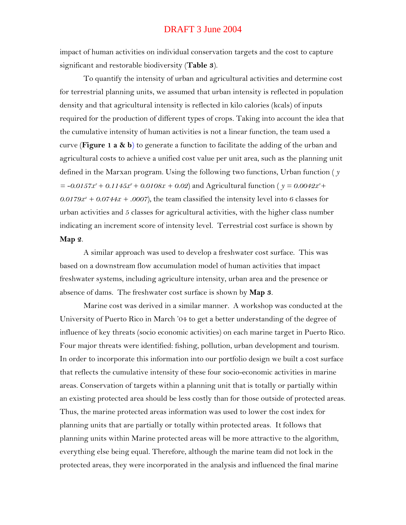impact of human activities on individual conservation targets and the cost to capture significant and restorable biodiversity (**Table 3**).

To quantify the intensity of urban and agricultural activities and determine cost for terrestrial planning units, we assumed that urban intensity is reflected in population density and that agricultural intensity is reflected in kilo calories (kcals) of inputs required for the production of different types of crops. Taking into account the idea that the cumulative intensity of human activities is not a linear function, the team used a curve (**Figure 1 a & b**) to generate a function to facilitate the adding of the urban and agricultural costs to achieve a unified cost value per unit area, such as the planning unit defined in the Marxan program. Using the following two functions, Urban function ( *y*   $= -0.0157x^3 + 0.1145x^2 + 0.0108x + 0.02$  and Agricultural function (  $y = 0.0042x^3 + 0.02x^4$  $0.0179x^2 + 0.0744x + 0.007$ , the team classified the intensity level into 6 classes for urban activities and 5 classes for agricultural activities, with the higher class number indicating an increment score of intensity level. Terrestrial cost surface is shown by **Map 2**.

A similar approach was used to develop a freshwater cost surface. This was based on a downstream flow accumulation model of human activities that impact freshwater systems, including agriculture intensity, urban area and the presence or absence of dams. The freshwater cost surface is shown by **Map 3**.

Marine cost was derived in a similar manner. A workshop was conducted at the University of Puerto Rico in March '04 to get a better understanding of the degree of influence of key threats (socio economic activities) on each marine target in Puerto Rico. Four major threats were identified: fishing, pollution, urban development and tourism. In order to incorporate this information into our portfolio design we built a cost surface that reflects the cumulative intensity of these four socio-economic activities in marine areas. Conservation of targets within a planning unit that is totally or partially within an existing protected area should be less costly than for those outside of protected areas. Thus, the marine protected areas information was used to lower the cost index for planning units that are partially or totally within protected areas. It follows that planning units within Marine protected areas will be more attractive to the algorithm, everything else being equal. Therefore, although the marine team did not lock in the protected areas, they were incorporated in the analysis and influenced the final marine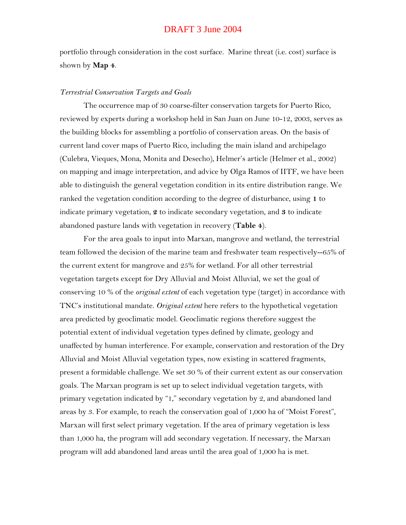portfolio through consideration in the cost surface. Marine threat (i.e. cost) surface is shown by **Map 4**.

#### *Terrestrial Conservation Targets and Goals*

The occurrence map of 30 coarse-filter conservation targets for Puerto Rico, reviewed by experts during a workshop held in San Juan on June 10-12, 2003, serves as the building blocks for assembling a portfolio of conservation areas. On the basis of current land cover maps of Puerto Rico, including the main island and archipelago (Culebra, Vieques, Mona, Monita and Desecho), Helmer's article (Helmer et al., 2002) on mapping and image interpretation, and advice by Olga Ramos of IITF, we have been able to distinguish the general vegetation condition in its entire distribution range. We ranked the vegetation condition according to the degree of disturbance, using **1** to indicate primary vegetation, **2** to indicate secondary vegetation, and **3** to indicate abandoned pasture lands with vegetation in recovery (**Table 4**).

For the area goals to input into Marxan, mangrove and wetland, the terrestrial team followed the decision of the marine team and freshwater team respectively--65% of the current extent for mangrove and 25% for wetland. For all other terrestrial vegetation targets except for Dry Alluvial and Moist Alluvial, we set the goal of conserving 10 % of the *original extent* of each vegetation type (target) in accordance with TNC's institutional mandate. *Original extent* here refers to the hypothetical vegetation area predicted by geoclimatic model. Geoclimatic regions therefore suggest the potential extent of individual vegetation types defined by climate, geology and unaffected by human interference. For example, conservation and restoration of the Dry Alluvial and Moist Alluvial vegetation types, now existing in scattered fragments, present a formidable challenge. We set 30 % of their current extent as our conservation goals. The Marxan program is set up to select individual vegetation targets, with primary vegetation indicated by "1," secondary vegetation by  $2$ , and abandoned land areas by 3. For example, to reach the conservation goal of 1,000 ha of "Moist Forest", Marxan will first select primary vegetation. If the area of primary vegetation is less than 1,000 ha, the program will add secondary vegetation. If necessary, the Marxan program will add abandoned land areas until the area goal of 1,000 ha is met.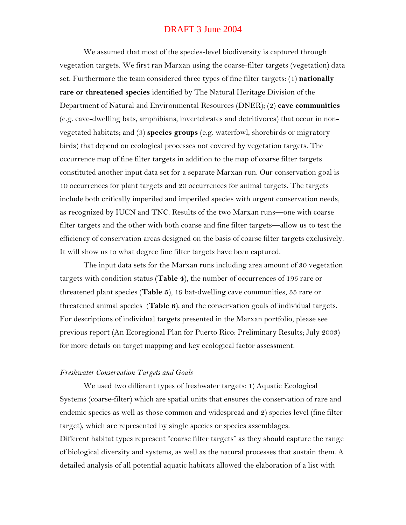We assumed that most of the species-level biodiversity is captured through vegetation targets. We first ran Marxan using the coarse-filter targets (vegetation) data set. Furthermore the team considered three types of fine filter targets: (1) **nationally rare or threatened species** identified by The Natural Heritage Division of the Department of Natural and Environmental Resources (DNER); (2) **cave communities** (e.g. cave-dwelling bats, amphibians, invertebrates and detritivores) that occur in nonvegetated habitats; and (3) **species groups** (e.g. waterfowl, shorebirds or migratory birds) that depend on ecological processes not covered by vegetation targets. The occurrence map of fine filter targets in addition to the map of coarse filter targets constituted another input data set for a separate Marxan run. Our conservation goal is 10 occurrences for plant targets and 20 occurrences for animal targets. The targets include both critically imperiled and imperiled species with urgent conservation needs, as recognized by IUCN and TNC. Results of the two Marxan runs—one with coarse filter targets and the other with both coarse and fine filter targets—allow us to test the efficiency of conservation areas designed on the basis of coarse filter targets exclusively. It will show us to what degree fine filter targets have been captured.

The input data sets for the Marxan runs including area amount of 30 vegetation targets with condition status (**Table 4**), the number of occurrences of 195 rare or threatened plant species (**Table 5**), 19 bat-dwelling cave communities, 55 rare or threatened animal species (**Table 6**), and the conservation goals of individual targets. For descriptions of individual targets presented in the Marxan portfolio, please see previous report (An Ecoregional Plan for Puerto Rico: Preliminary Results; July 2003) for more details on target mapping and key ecological factor assessment.

#### *Freshwater Conservation Targets and Goals*

We used two different types of freshwater targets: 1) Aquatic Ecological Systems (coarse-filter) which are spatial units that ensures the conservation of rare and endemic species as well as those common and widespread and 2) species level (fine filter target), which are represented by single species or species assemblages. Different habitat types represent "coarse filter targets" as they should capture the range of biological diversity and systems, as well as the natural processes that sustain them. A detailed analysis of all potential aquatic habitats allowed the elaboration of a list with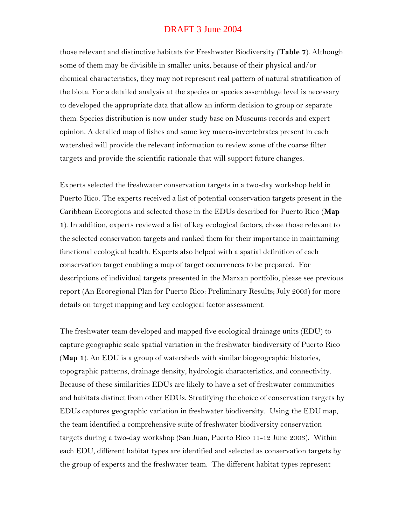those relevant and distinctive habitats for Freshwater Biodiversity (**Table 7**). Although some of them may be divisible in smaller units, because of their physical and/or chemical characteristics, they may not represent real pattern of natural stratification of the biota. For a detailed analysis at the species or species assemblage level is necessary to developed the appropriate data that allow an inform decision to group or separate them. Species distribution is now under study base on Museums records and expert opinion. A detailed map of fishes and some key macro-invertebrates present in each watershed will provide the relevant information to review some of the coarse filter targets and provide the scientific rationale that will support future changes.

Experts selected the freshwater conservation targets in a two-day workshop held in Puerto Rico. The experts received a list of potential conservation targets present in the Caribbean Ecoregions and selected those in the EDUs described for Puerto Rico (**Map 1**). In addition, experts reviewed a list of key ecological factors, chose those relevant to the selected conservation targets and ranked them for their importance in maintaining functional ecological health. Experts also helped with a spatial definition of each conservation target enabling a map of target occurrences to be prepared. For descriptions of individual targets presented in the Marxan portfolio, please see previous report (An Ecoregional Plan for Puerto Rico: Preliminary Results; July 2003) for more details on target mapping and key ecological factor assessment.

The freshwater team developed and mapped five ecological drainage units (EDU) to capture geographic scale spatial variation in the freshwater biodiversity of Puerto Rico (**Map 1**). An EDU is a group of watersheds with similar biogeographic histories, topographic patterns, drainage density, hydrologic characteristics, and connectivity. Because of these similarities EDUs are likely to have a set of freshwater communities and habitats distinct from other EDUs. Stratifying the choice of conservation targets by EDUs captures geographic variation in freshwater biodiversity. Using the EDU map, the team identified a comprehensive suite of freshwater biodiversity conservation targets during a two-day workshop (San Juan, Puerto Rico 11-12 June 2003). Within each EDU, different habitat types are identified and selected as conservation targets by the group of experts and the freshwater team. The different habitat types represent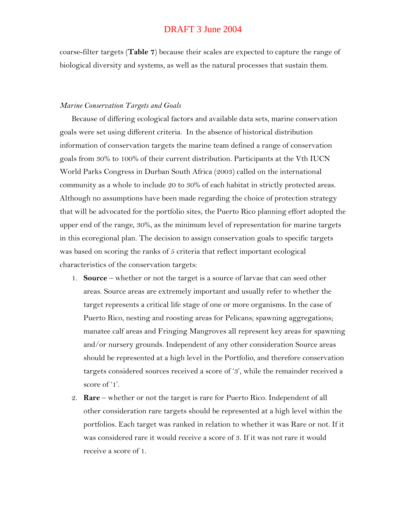coarse-filter targets (**Table 7**) because their scales are expected to capture the range of biological diversity and systems, as well as the natural processes that sustain them.

#### *Marine Conservation Targets and Goals*

Because of differing ecological factors and available data sets, marine conservation goals were set using different criteria. In the absence of historical distribution information of conservation targets the marine team defined a range of conservation goals from 30% to 100% of their current distribution. Participants at the Vth IUCN World Parks Congress in Durban South Africa (2003) called on the international community as a whole to include 20 to 30% of each habitat in strictly protected areas. Although no assumptions have been made regarding the choice of protection strategy that will be advocated for the portfolio sites, the Puerto Rico planning effort adopted the upper end of the range, 30%, as the minimum level of representation for marine targets in this ecoregional plan. The decision to assign conservation goals to specific targets was based on scoring the ranks of 5 criteria that reflect important ecological characteristics of the conservation targets:

- 1. **Source** whether or not the target is a source of larvae that can seed other areas. Source areas are extremely important and usually refer to whether the target represents a critical life stage of one or more organisms. In the case of Puerto Rico, nesting and roosting areas for Pelicans; spawning aggregations; manatee calf areas and Fringing Mangroves all represent key areas for spawning and/or nursery grounds. Independent of any other consideration Source areas should be represented at a high level in the Portfolio, and therefore conservation targets considered sources received a score of '3', while the remainder received a score of '1'.
- 2. **Rare** whether or not the target is rare for Puerto Rico. Independent of all other consideration rare targets should be represented at a high level within the portfolios. Each target was ranked in relation to whether it was Rare or not. If it was considered rare it would receive a score of 3. If it was not rare it would receive a score of 1.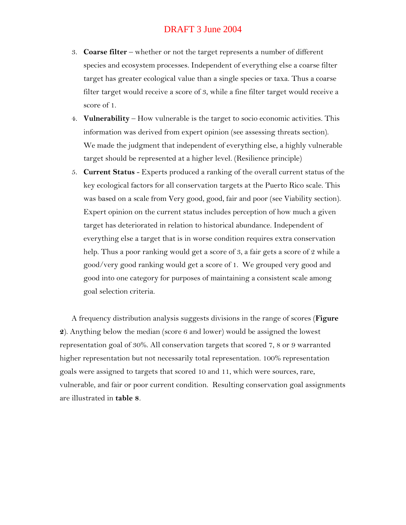- 3. **Coarse filter** whether or not the target represents a number of different species and ecosystem processes. Independent of everything else a coarse filter target has greater ecological value than a single species or taxa. Thus a coarse filter target would receive a score of 3, while a fine filter target would receive a score of 1.
- 4. **Vulnerability** How vulnerable is the target to socio economic activities. This information was derived from expert opinion (see assessing threats section). We made the judgment that independent of everything else, a highly vulnerable target should be represented at a higher level. (Resilience principle)
- 5. **Current Status** Experts produced a ranking of the overall current status of the key ecological factors for all conservation targets at the Puerto Rico scale. This was based on a scale from Very good, good, fair and poor (see Viability section). Expert opinion on the current status includes perception of how much a given target has deteriorated in relation to historical abundance. Independent of everything else a target that is in worse condition requires extra conservation help. Thus a poor ranking would get a score of 3, a fair gets a score of 2 while a good/very good ranking would get a score of 1. We grouped very good and good into one category for purposes of maintaining a consistent scale among goal selection criteria.

A frequency distribution analysis suggests divisions in the range of scores (**Figure 2**). Anything below the median (score 6 and lower) would be assigned the lowest representation goal of 30%. All conservation targets that scored 7, 8 or 9 warranted higher representation but not necessarily total representation. 100% representation goals were assigned to targets that scored 10 and 11, which were sources, rare, vulnerable, and fair or poor current condition. Resulting conservation goal assignments are illustrated in **table 8**.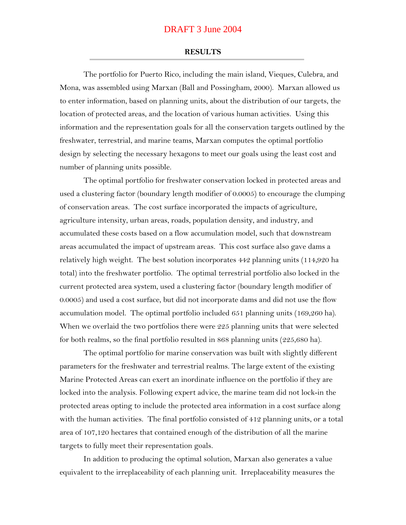#### **RESULTS**

The portfolio for Puerto Rico, including the main island, Vieques, Culebra, and Mona, was assembled using Marxan (Ball and Possingham, 2000). Marxan allowed us to enter information, based on planning units, about the distribution of our targets, the location of protected areas, and the location of various human activities. Using this information and the representation goals for all the conservation targets outlined by the freshwater, terrestrial, and marine teams, Marxan computes the optimal portfolio design by selecting the necessary hexagons to meet our goals using the least cost and number of planning units possible.

The optimal portfolio for freshwater conservation locked in protected areas and used a clustering factor (boundary length modifier of 0.0005) to encourage the clumping of conservation areas. The cost surface incorporated the impacts of agriculture, agriculture intensity, urban areas, roads, population density, and industry, and accumulated these costs based on a flow accumulation model, such that downstream areas accumulated the impact of upstream areas. This cost surface also gave dams a relatively high weight. The best solution incorporates 442 planning units (114,920 ha total) into the freshwater portfolio. The optimal terrestrial portfolio also locked in the current protected area system, used a clustering factor (boundary length modifier of 0.0005) and used a cost surface, but did not incorporate dams and did not use the flow accumulation model. The optimal portfolio included 651 planning units (169,260 ha). When we overlaid the two portfolios there were 225 planning units that were selected for both realms, so the final portfolio resulted in 868 planning units (225,680 ha).

The optimal portfolio for marine conservation was built with slightly different parameters for the freshwater and terrestrial realms. The large extent of the existing Marine Protected Areas can exert an inordinate influence on the portfolio if they are locked into the analysis. Following expert advice, the marine team did not lock-in the protected areas opting to include the protected area information in a cost surface along with the human activities. The final portfolio consisted of 412 planning units, or a total area of 107,120 hectares that contained enough of the distribution of all the marine targets to fully meet their representation goals.

In addition to producing the optimal solution, Marxan also generates a value equivalent to the irreplaceability of each planning unit. Irreplaceability measures the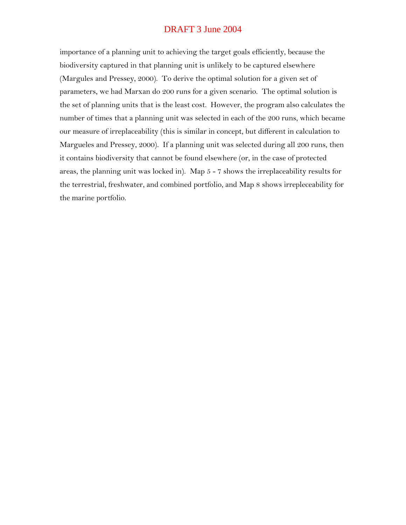importance of a planning unit to achieving the target goals efficiently, because the biodiversity captured in that planning unit is unlikely to be captured elsewhere (Margules and Pressey, 2000). To derive the optimal solution for a given set of parameters, we had Marxan do 200 runs for a given scenario. The optimal solution is the set of planning units that is the least cost. However, the program also calculates the number of times that a planning unit was selected in each of the 200 runs, which became our measure of irreplaceability (this is similar in concept, but different in calculation to Margueles and Pressey, 2000). If a planning unit was selected during all 200 runs, then it contains biodiversity that cannot be found elsewhere (or, in the case of protected areas, the planning unit was locked in). Map 5 - 7 shows the irreplaceability results for the terrestrial, freshwater, and combined portfolio, and Map 8 shows irrepleceability for the marine portfolio.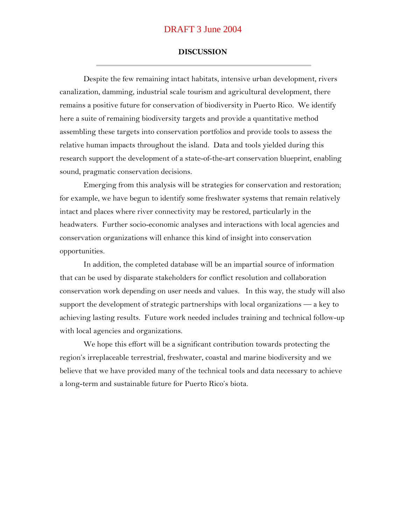#### **DISCUSSION**

Despite the few remaining intact habitats, intensive urban development, rivers canalization, damming, industrial scale tourism and agricultural development, there remains a positive future for conservation of biodiversity in Puerto Rico. We identify here a suite of remaining biodiversity targets and provide a quantitative method assembling these targets into conservation portfolios and provide tools to assess the relative human impacts throughout the island. Data and tools yielded during this research support the development of a state-of-the-art conservation blueprint, enabling sound, pragmatic conservation decisions.

Emerging from this analysis will be strategies for conservation and restoration; for example, we have begun to identify some freshwater systems that remain relatively intact and places where river connectivity may be restored, particularly in the headwaters. Further socio-economic analyses and interactions with local agencies and conservation organizations will enhance this kind of insight into conservation opportunities.

In addition, the completed database will be an impartial source of information that can be used by disparate stakeholders for conflict resolution and collaboration conservation work depending on user needs and values. In this way, the study will also support the development of strategic partnerships with local organizations — a key to achieving lasting results. Future work needed includes training and technical follow-up with local agencies and organizations.

We hope this effort will be a significant contribution towards protecting the region's irreplaceable terrestrial, freshwater, coastal and marine biodiversity and we believe that we have provided many of the technical tools and data necessary to achieve a long-term and sustainable future for Puerto Rico's biota.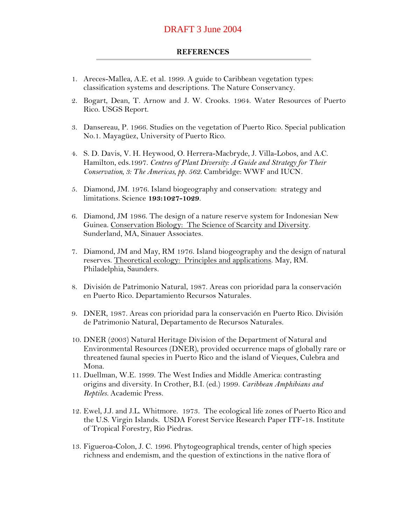#### **REFERENCES**

- 1. Areces-Mallea, A.E. et al. 1999. A guide to Caribbean vegetation types: classification systems and descriptions. The Nature Conservancy.
- 2. Bogart, Dean, T. Arnow and J. W. Crooks. 1964. Water Resources of Puerto Rico. USGS Report.
- 3. Dansereau, P. 1966. Studies on the vegetation of Puerto Rico. Special publication No.1. Mayagüez, University of Puerto Rico.
- 4. S. D. Davis, V. H. Heywood, O. Herrera-Macbryde, J. Villa-Lobos, and A.C. Hamilton, eds.1997. *Centres of Plant Diversity: A Guide and Strategy for Their Conservation, 3: The Americas, pp. 562.* Cambridge: WWF and IUCN*.*
- 5. Diamond, JM. 1976. Island biogeography and conservation: strategy and limitations. Science **193:1027-1029**.
- 6. Diamond, JM 1986. The design of a nature reserve system for Indonesian New Guinea. Conservation Biology: The Science of Scarcity and Diversity. Sunderland, MA, Sinauer Associates.
- 7. Diamond, JM and May, RM 1976. Island biogeography and the design of natural reserves. Theoretical ecology: Principles and applications. May, RM. Philadelphia, Saunders.
- 8. División de Patrimonio Natural, 1987. Areas con prioridad para la conservación en Puerto Rico. Departamiento Recursos Naturales.
- 9. DNER, 1987. Areas con prioridad para la conservación en Puerto Rico. División de Patrimonio Natural, Departamento de Recursos Naturales.
- 10. DNER (2003) Natural Heritage Division of the Department of Natural and Environmental Resources (DNER), provided occurrence maps of globally rare or threatened faunal species in Puerto Rico and the island of Vieques, Culebra and Mona.
- 11. Duellman, W.E. 1999. The West Indies and Middle America: contrasting origins and diversity. In Crother, B.I. (ed.) 1999. *Caribbean Amphibians and Reptiles.* Academic Press.
- 12. Ewel, J.J. and J.L. Whitmore. 1973. The ecological life zones of Puerto Rico and the U.S. Virgin Islands. USDA Forest Service Research Paper ITF-18. Institute of Tropical Forestry, Rio Piedras.
- 13. Figueroa-Colon, J. C. 1996. Phytogeographical trends, center of high species richness and endemism, and the question of extinctions in the native flora of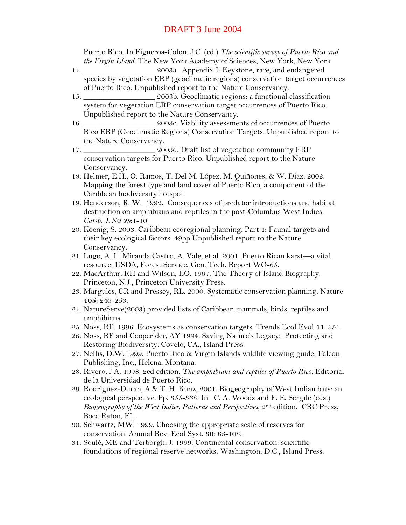Puerto Rico. In Figueroa-Colon, J.C. (ed.) *The scientific survey of Puerto Rico and the Virgin Island.* The New York Academy of Sciences, New York, New York.

- 14. \_\_\_\_\_\_\_\_\_\_\_\_\_\_\_\_\_\_ 2003a. Appendix I: Keystone, rare, and endangered species by vegetation ERP (geoclimatic regions) conservation target occurrences of Puerto Rico. Unpublished report to the Nature Conservancy.
- 15. \_\_\_\_\_\_\_\_\_\_\_\_\_\_\_\_\_\_ 2003b. Geoclimatic regions: a functional classification system for vegetation ERP conservation target occurrences of Puerto Rico. Unpublished report to the Nature Conservancy.
- 16. \_\_\_\_\_\_\_\_\_\_\_\_\_\_\_\_\_\_ 2003c. Viability assessments of occurrences of Puerto Rico ERP (Geoclimatic Regions) Conservation Targets. Unpublished report to the Nature Conservancy.
- 17. \_\_\_\_\_\_\_\_\_\_\_\_\_\_\_\_\_\_ 2003d. Draft list of vegetation community ERP conservation targets for Puerto Rico. Unpublished report to the Nature Conservancy.
- 18. Helmer, E.H., O. Ramos, T. Del M. López, M. Quiñones, & W. Diaz. 2002. Mapping the forest type and land cover of Puerto Rico, a component of the Caribbean biodiversity hotspot.
- 19. Henderson, R. W. 1992. Consequences of predator introductions and habitat destruction on amphibians and reptiles in the post-Columbus West Indies. *Carib. J. Sci 28*:1-10.
- 20. Koenig, S. 2003. Caribbean ecoregional planning. Part 1: Faunal targets and their key ecological factors. 49pp.Unpublished report to the Nature Conservancy.
- 21. Lugo, A. L. Miranda Castro, A. Vale, et al. 2001. Puerto Rican karst—a vital resource. USDA, Forest Service, Gen. Tech. Report WO-65.
- 22. MacArthur, RH and Wilson, EO. 1967. The Theory of Island Biography. Princeton, N.J., Princeton University Press.
- 23. Margules, CR and Pressey, RL. 2000. Systematic conservation planning. Nature **405**: 243-253.
- 24. NatureServe(2003) provided lists of Caribbean mammals, birds, reptiles and amphibians.
- 25. Noss, RF. 1996. Ecosystems as conservation targets. Trends Ecol Evol **11**: 351.
- 26. Noss, RF and Cooperider, AY 1994. Saving Nature's Legacy: Protecting and Restoring Biodiversity. Covelo, CA,, Island Press.
- 27. Nellis, D.W. 1999. Puerto Rico & Virgin Islands wildlife viewing guide. Falcon Publishing, Inc., Helena, Montana.
- 28. Rivero, J.A. 1998. 2ed edition. *The amphibians and reptiles of Puerto Rico*. Editorial de la Universidad de Puerto Rico.
- 29. Rodriguez-Duran, A.& T. H. Kunz, 2001. Biogeography of West Indian bats: an ecological perspective. Pp. 355-368. In: C. A. Woods and F. E. Sergile (eds.) *Biogeography of the West Indies, Patterns and Perspectives*, 2nd edition. CRC Press, Boca Raton, FL.
- 30. Schwartz, MW. 1999. Choosing the appropriate scale of reserves for conservation. Annual Rev. Ecol Syst. **30**: 83-108.
- 31. Soulé, ME and Terborgh, J. 1999. Continental conservation: scientific foundations of regional reserve networks. Washington, D.C., Island Press.